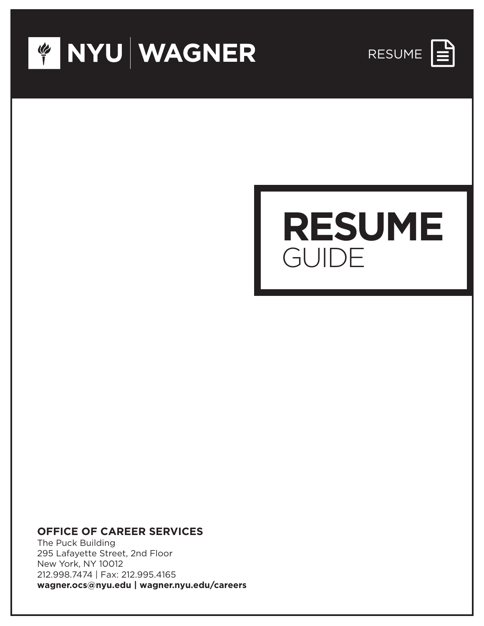





#### **OFFICE OF CAREER SERVICES**

The Puck Building 295 Lafayette Street, 2nd Floor New York, NY 10012 212.998.7474 | Fax: 212.995.4165 **wagner.ocs@nyu.edu | wagner.nyu.edu/careers**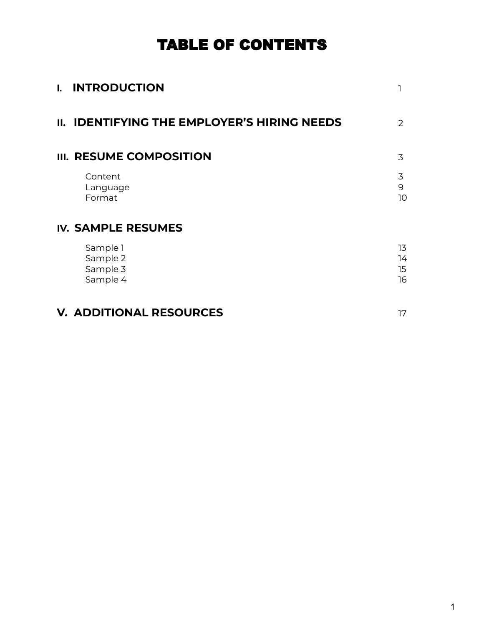# TABLE OF CONTENTS

| $\mathbf{L}$ | <b>INTRODUCTION</b>                                |                                    |
|--------------|----------------------------------------------------|------------------------------------|
|              | <b>II. IDENTIFYING THE EMPLOYER'S HIRING NEEDS</b> | $\mathcal{P}$                      |
|              | III. RESUME COMPOSITION                            | 3                                  |
|              | Content<br>Language<br>Format                      | 3<br>9<br>10                       |
|              | <b>IV. SAMPLE RESUMES</b>                          |                                    |
|              | Sample 1<br>Sample 2<br>Sample 3<br>Sample 4       | 13<br>14<br>15 <sub>15</sub><br>16 |
|              | <b>V. ADDITIONAL RESOURCES</b>                     | 17                                 |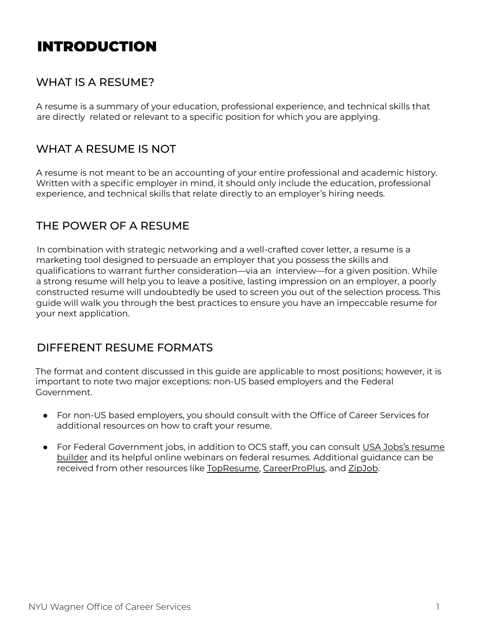# INTRODUCTION

## WHAT IS A RESUME?

A resume is a summary of your education, professional experience, and technical skills that are directly related or relevant to a specific position for which you are applying.

## WHAT A RESUME IS NOT

A resume is not meant to be an accounting of your entire professional and academic history. Written with a specific employer in mind, it should only include the education, professional experience, and technical skills that relate directly to an employer's hiring needs.

### THE POWER OF A RESUME

In combination with strategic networking and a well-crafted cover letter, a resume is a marketing tool designed to persuade an employer that you possess the skills and qualifications to warrant further consideration—via an interview—for a given position. While a strong resume will help you to leave a positive, lasting impression on an employer, a poorly constructed resume will undoubtedly be used to screen you out of the selection process. This guide will walk you through the best practices to ensure you have an impeccable resume for your next application.

#### DIFFERENT RESUME FORMATS

The format and content discussed in this guide are applicable to most positions; however, it is important to note two major exceptions: non-US based employers and the Federal Government.

- For non-US based employers, you should consult with the Office of Career Services for additional resources on how to craft your resume.
- For Federal Government jobs, in addition to OCS staff, you can consult USA Jobs's [resume](https://www.usajobs.gov/help/how-to/account/documents/resume/build/) [builder](https://www.usajobs.gov/help/how-to/account/documents/resume/build/) and its helpful online webinars on federal resumes. Additional guidance can be received from other resources like [TopResume,](https://www.topresume.com/career-advice/how-to-write-a-federal-resume) [CareerProPlus](https://www.careerproplus.com/resume-services/federal-resumes/), and [ZipJob](https://www.zipjob.com/blog/difference-between-federal-and-corporate-resumes/).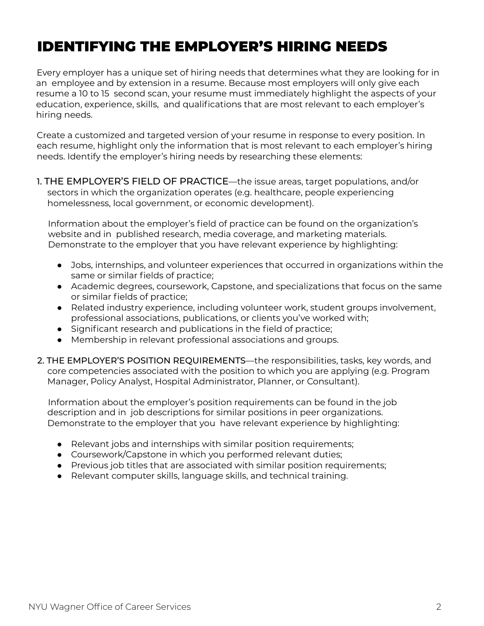# IDENTIFYING THE EMPLOYER'S HIRING NEEDS

Every employer has a unique set of hiring needs that determines what they are looking for in an employee and by extension in a resume. Because most employers will only give each resume a 10 to 15 second scan, your resume must immediately highlight the aspects of your education, experience, skills, and qualifications that are most relevant to each employer's hiring needs.

Create a customized and targeted version of your resume in response to every position. In each resume, highlight only the information that is most relevant to each employer's hiring needs. Identify the employer's hiring needs by researching these elements:

1. THE EMPLOYER'S FIELD OF PRACTICE—the issue areas, target populations, and/or sectors in which the organization operates (e.g. healthcare, people experiencing homelessness, local government, or economic development).

Information about the employer's field of practice can be found on the organization's website and in published research, media coverage, and marketing materials. Demonstrate to the employer that you have relevant experience by highlighting:

- Jobs, internships, and volunteer experiences that occurred in organizations within the same or similar fields of practice;
- Academic degrees, coursework, Capstone, and specializations that focus on the same or similar fields of practice;
- Related industry experience, including volunteer work, student groups involvement, professional associations, publications, or clients you've worked with;
- Significant research and publications in the field of practice;
- Membership in relevant professional associations and groups.
- 2. THE EMPLOYER'S POSITION REQUIREMENTS—the responsibilities, tasks, key words, and core competencies associated with the position to which you are applying (e.g. Program Manager, Policy Analyst, Hospital Administrator, Planner, or Consultant).

Information about the employer's position requirements can be found in the job description and in job descriptions for similar positions in peer organizations. Demonstrate to the employer that you have relevant experience by highlighting:

- Relevant jobs and internships with similar position requirements;
- Coursework/Capstone in which you performed relevant duties;
- Previous job titles that are associated with similar position requirements;
- Relevant computer skills, language skills, and technical training.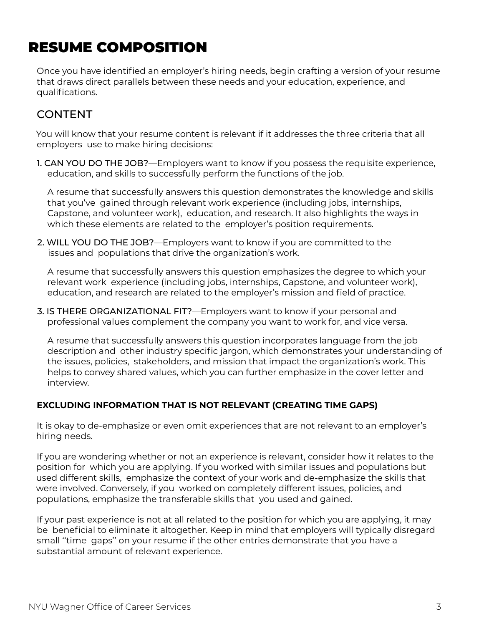# RESUME COMPOSITION

Once you have identified an employer's hiring needs, begin crafting a version of your resume that draws direct parallels between these needs and your education, experience, and qualifications.

## **CONTENT**

You will know that your resume content is relevant if it addresses the three criteria that all employers use to make hiring decisions:

1. CAN YOU DO THE JOB?—Employers want to know if you possess the requisite experience, education, and skills to successfully perform the functions of the job.

A resume that successfully answers this question demonstrates the knowledge and skills that you've gained through relevant work experience (including jobs, internships, Capstone, and volunteer work), education, and research. It also highlights the ways in which these elements are related to the employer's position requirements.

2. WILL YOU DO THE JOB?—Employers want to know if you are committed to the issues and populations that drive the organization's work.

A resume that successfully answers this question emphasizes the degree to which your relevant work experience (including jobs, internships, Capstone, and volunteer work), education, and research are related to the employer's mission and field of practice.

3. IS THERE ORGANIZATIONAL FIT?—Employers want to know if your personal and professional values complement the company you want to work for, and vice versa.

A resume that successfully answers this question incorporates language from the job description and other industry specific jargon, which demonstrates your understanding of the issues, policies, stakeholders, and mission that impact the organization's work. This helps to convey shared values, which you can further emphasize in the cover letter and interview.

#### **EXCLUDING INFORMATION THAT IS NOT RELEVANT (CREATING TIME GAPS)**

It is okay to de-emphasize or even omit experiences that are not relevant to an employer's hiring needs.

If you are wondering whether or not an experience is relevant, consider how it relates to the position for which you are applying. If you worked with similar issues and populations but used different skills, emphasize the context of your work and de-emphasize the skills that were involved. Conversely, if you worked on completely different issues, policies, and populations, emphasize the transferable skills that you used and gained.

If your past experience is not at all related to the position for which you are applying, it may be beneficial to eliminate it altogether. Keep in mind that employers will typically disregard small ''time gaps'' on your resume if the other entries demonstrate that you have a substantial amount of relevant experience.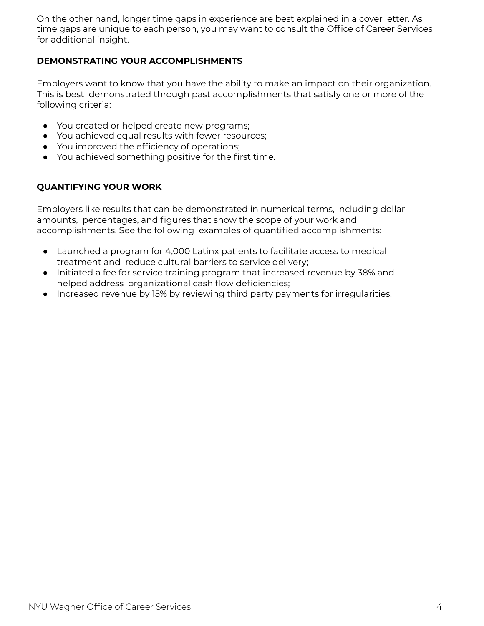On the other hand, longer time gaps in experience are best explained in a cover letter. As time gaps are unique to each person, you may want to consult the Office of Career Services for additional insight.

#### **DEMONSTRATING YOUR ACCOMPLISHMENTS**

Employers want to know that you have the ability to make an impact on their organization. This is best demonstrated through past accomplishments that satisfy one or more of the following criteria:

- You created or helped create new programs;
- You achieved equal results with fewer resources;
- You improved the efficiency of operations;
- You achieved something positive for the first time.

#### **QUANTIFYING YOUR WORK**

Employers like results that can be demonstrated in numerical terms, including dollar amounts, percentages, and figures that show the scope of your work and accomplishments. See the following examples of quantified accomplishments:

- Launched a program for 4,000 Latinx patients to facilitate access to medical treatment and reduce cultural barriers to service delivery;
- Initiated a fee for service training program that increased revenue by 38% and helped address organizational cash flow deficiencies;
- Increased revenue by 15% by reviewing third party payments for irregularities.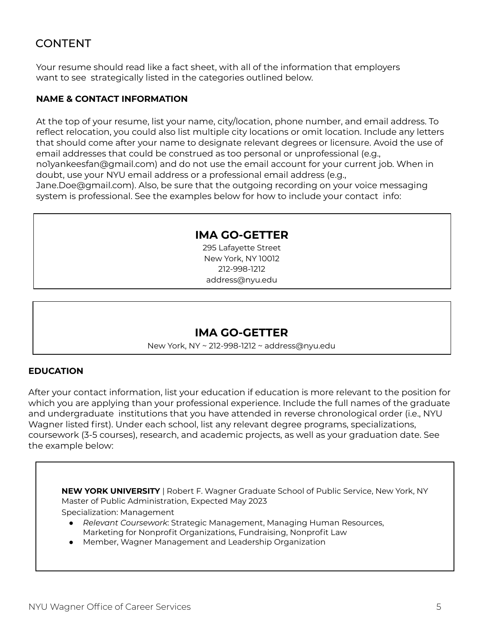## CONTENT

Your resume should read like a fact sheet, with all of the information that employers want to see strategically listed in the categories outlined below.

#### **NAME & CONTACT INFORMATION**

At the top of your resume, list your name, city/location, phone number, and email address. To reflect relocation, you could also list multiple city locations or omit location. Include any letters that should come after your name to designate relevant degrees or licensure. Avoid the use of email addresses that could be construed as too personal or unprofessional (e.g., no1yankeesfan@gmail.com) and do not use the email account for your current job. When in doubt, use your NYU email address or a professional email address (e.g., Jane.Doe@gmail.com). Also, be sure that the outgoing recording on your voice messaging

system is professional. See the examples below for how to include your contact info:

#### **IMA GO-GETTER**

295 Lafayette Street New York, NY 10012 212-998-1212 address@nyu.edu

#### **IMA GO-GETTER**

New York, NY ~ 212-998-1212 ~ address@nyu.edu

#### **EDUCATION**

After your contact information, list your education if education is more relevant to the position for which you are applying than your professional experience. Include the full names of the graduate and undergraduate institutions that you have attended in reverse chronological order (i.e., NYU Wagner listed first). Under each school, list any relevant degree programs, specializations, coursework (3-5 courses), research, and academic projects, as well as your graduation date. See the example below:

**NEW YORK UNIVERSITY** | Robert F. Wagner Graduate School of Public Service, New York, NY Master of Public Administration, Expected May 2023

Specialization: Management

- *Relevant Coursework*: Strategic Management, Managing Human Resources, Marketing for Nonprofit Organizations, Fundraising, Nonprofit Law
- Member, Wagner Management and Leadership Organization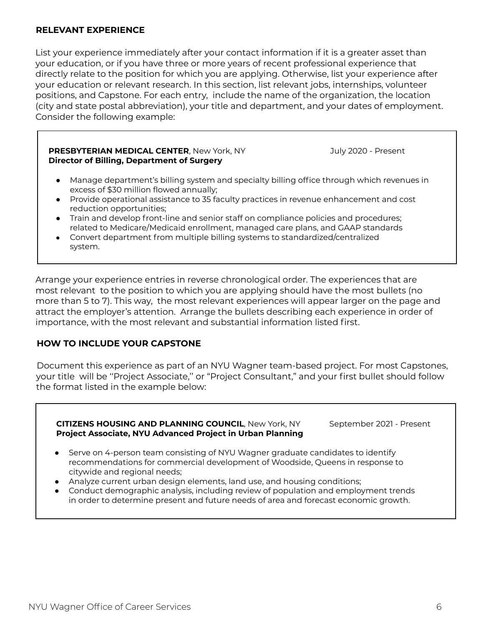#### **RELEVANT EXPERIENCE**

List your experience immediately after your contact information if it is a greater asset than your education, or if you have three or more years of recent professional experience that directly relate to the position for which you are applying. Otherwise, list your experience after your education or relevant research. In this section, list relevant jobs, internships, volunteer positions, and Capstone. For each entry, include the name of the organization, the location (city and state postal abbreviation), your title and department, and your dates of employment. Consider the following example:

#### **PRESBYTERIAN MEDICAL CENTER**, New York, NY July 2020 - Present **Director of Billing, Department of Surgery**

- Manage department's billing system and specialty billing office through which revenues in excess of \$30 million flowed annually;
- Provide operational assistance to 35 faculty practices in revenue enhancement and cost reduction opportunities;
- Train and develop front-line and senior staff on compliance policies and procedures; related to Medicare/Medicaid enrollment, managed care plans, and GAAP standards
- Convert department from multiple billing systems to standardized/centralized system.

Arrange your experience entries in reverse chronological order. The experiences that are most relevant to the position to which you are applying should have the most bullets (no more than 5 to 7). This way, the most relevant experiences will appear larger on the page and attract the employer's attention. Arrange the bullets describing each experience in order of importance, with the most relevant and substantial information listed first.

#### **HOW TO INCLUDE YOUR CAPSTONE**

Document this experience as part of an NYU Wagner team-based project. For most Capstones, your title will be ''Project Associate,'' or "Project Consultant," and your first bullet should follow the format listed in the example below:

**CITIZENS HOUSING AND PLANNING COUNCIL, New York, NY September 2021 - Present Project Associate, NYU Advanced Project in Urban Planning**

- Serve on 4-person team consisting of NYU Wagner graduate candidates to identify recommendations for commercial development of Woodside, Queens in response to citywide and regional needs;
- Analyze current urban design elements, land use, and housing conditions;
- Conduct demographic analysis, including review of population and employment trends in order to determine present and future needs of area and forecast economic growth.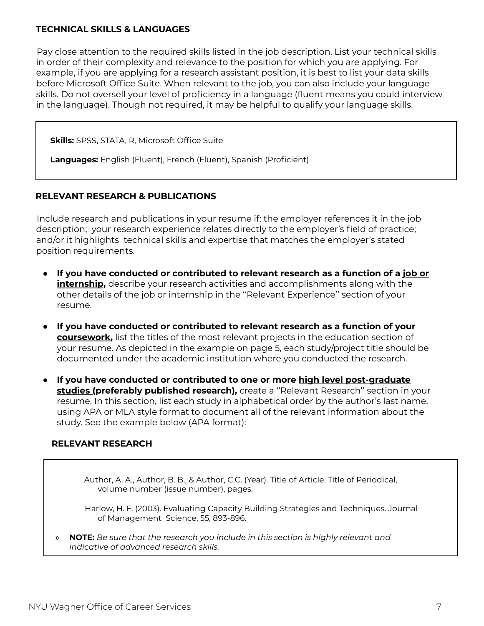#### **TECHNICAL SKILLS & LANGUAGES**

Pay close attention to the required skills listed in the job description. List your technical skills in order of their complexity and relevance to the position for which you are applying. For example, if you are applying for a research assistant position, it is best to list your data skills before Microsoft Office Suite. When relevant to the job, you can also include your language skills. Do not oversell your level of proficiency in a language (fluent means you could interview in the language). Though not required, it may be helpful to qualify your language skills.

**Skills:** SPSS, STATA, R, Microsoft Office Suite

**Languages:** English (Fluent), French (Fluent), Spanish (Proficient)

#### **RELEVANT RESEARCH & PUBLICATIONS**

Include research and publications in your resume if: the employer references it in the job description; your research experience relates directly to the employer's field of practice; and/or it highlights technical skills and expertise that matches the employer's stated position requirements.

- **If you have conducted or contributed to relevant research as a function of a job or internship,** describe your research activities and accomplishments along with the other details of the job or internship in the ''Relevant Experience'' section of your resume.
- **If you have conducted or contributed to relevant research as a function of your coursework,** list the titles of the most relevant projects in the education section of your resume. As depicted in the example on page 5, each study/project title should be documented under the academic institution where you conducted the research.
- **If you have conducted or contributed to one or more high level post-graduate studies (preferably published research),** create a ''Relevant Research'' section in your resume. In this section, list each study in alphabetical order by the author's last name, using APA or MLA style format to document all of the relevant information about the study. See the example below (APA format):

#### **RELEVANT RESEARCH**

Author, A. A., Author, B. B., & Author, C.C. (Year). Title of Article. Title of Periodical, volume number (issue number), pages.

Harlow, H. F. (2003). Evaluating Capacity Building Strategies and Techniques. Journal of Management Science, 55, 893-896.

» **NOTE:** *Be sure that the research you include in this section is highly relevant and indicative of advanced research skills.*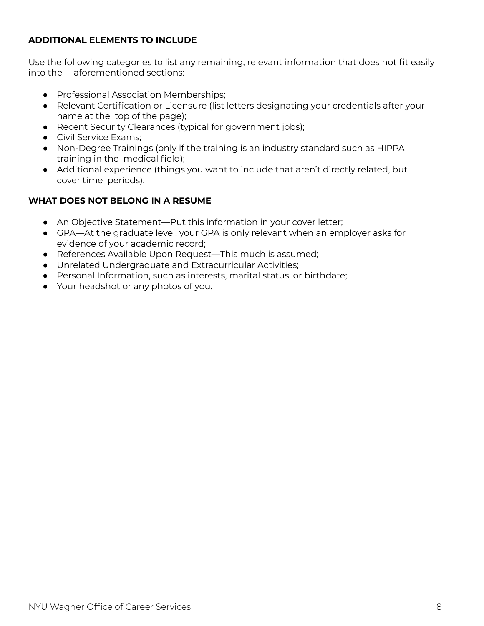#### **ADDITIONAL ELEMENTS TO INCLUDE**

Use the following categories to list any remaining, relevant information that does not fit easily into the aforementioned sections:

- Professional Association Memberships;
- Relevant Certification or Licensure (list letters designating your credentials after your name at the top of the page);
- Recent Security Clearances (typical for government jobs);
- **•** Civil Service Exams:
- Non-Degree Trainings (only if the training is an industry standard such as HIPPA training in the medical field);
- Additional experience (things you want to include that aren't directly related, but cover time periods).

#### **WHAT DOES NOT BELONG IN A RESUME**

- An Objective Statement—Put this information in your cover letter;
- GPA—At the graduate level, your GPA is only relevant when an employer asks for evidence of your academic record;
- References Available Upon Request—This much is assumed;
- Unrelated Undergraduate and Extracurricular Activities;
- Personal Information, such as interests, marital status, or birthdate;
- Your headshot or any photos of you.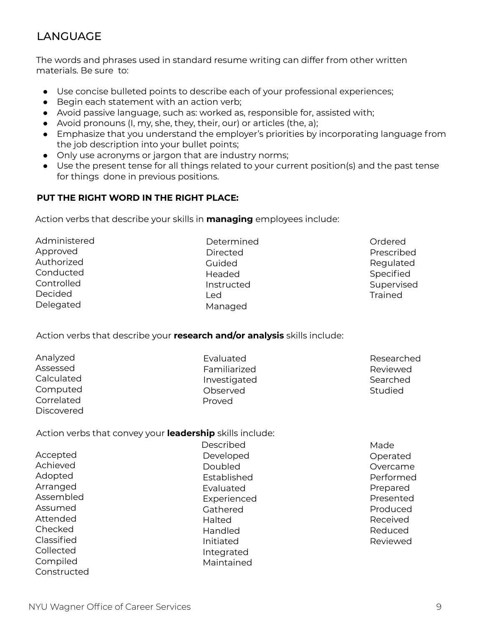## LANGUAGE

The words and phrases used in standard resume writing can differ from other written materials. Be sure to:

- Use concise bulleted points to describe each of your professional experiences;
- Begin each statement with an action verb;
- Avoid passive language, such as: worked as, responsible for, assisted with;
- $\bullet$  Avoid pronouns (I, my, she, they, their, our) or articles (the, a);
- Emphasize that you understand the employer's priorities by incorporating language from the job description into your bullet points;
- Only use acronyms or jargon that are industry norms;
- Use the present tense for all things related to your current position(s) and the past tense for things done in previous positions.

#### **PUT THE RIGHT WORD IN THE RIGHT PLACE:**

Action verbs that describe your skills in **managing** employees include:

| Administered |
|--------------|
| Approved     |
| Authorized   |
| Conducted    |
| Controlled   |
| Decided      |
| Delegated    |

Determined **Directed** Guided Headed Instructed Led Managed

Ordered Prescribed **Regulated** Specified Supervised **Trained** 

Action verbs that describe your **research and/or analysis** skills include:

| Analyzed   | Evaluated    | Researched |
|------------|--------------|------------|
| Assessed   | Familiarized | Reviewed   |
| Calculated | Investigated | Searched   |
| Computed   | Observed     | Studied    |
| Correlated | Proved       |            |
| Discovered |              |            |

Action verbs that convey your **leadership** skills include:

|             | Described   | Made      |
|-------------|-------------|-----------|
| Accepted    | Developed   | Operated  |
| Achieved    | Doubled     | Overcame  |
| Adopted     | Established | Performed |
| Arranged    | Evaluated   | Prepared  |
| Assembled   | Experienced | Presented |
| Assumed     | Gathered    | Produced  |
| Attended    | Halted      | Received  |
| Checked     | Handled     | Reduced   |
| Classified  | Initiated   | Reviewed  |
| Collected   | Integrated  |           |
| Compiled    | Maintained  |           |
| Constructed |             |           |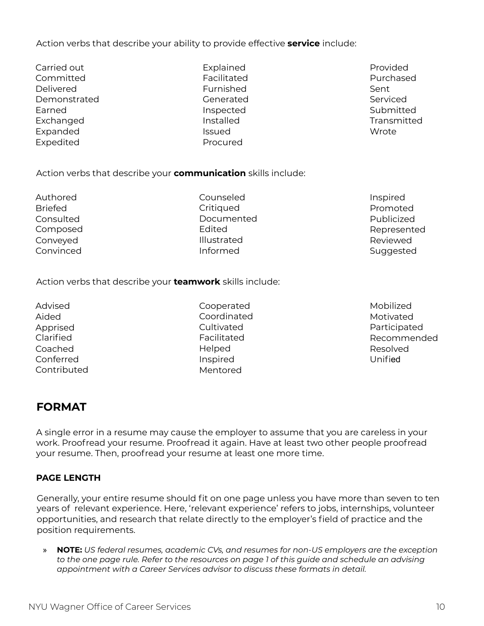Conveyed Convinced Illustrated Informed

Action verbs that describe your **teamwork** skills include:

Action verbs that describe your **communication** skills include:

Advised Aided Apprised Clarified Coached Conferred **Contributed** 

Authored Briefed **Consulted** Composed

> Cooperated Coordinated **Cultivated** Facilitated Helped Inspired Mentored

Mobilized Motivated Participated Recommended Resolved Unified

## **FORMAT**

A single error in a resume may cause the employer to assume that you are careless in your work. Proofread your resume. Proofread it again. Have at least two other people proofread your resume. Then, proofread your resume at least one more time.

#### **PAGE LENGTH**

Generally, your entire resume should fit on one page unless you have more than seven to ten years of relevant experience. Here, 'relevant experience' refers to jobs, internships, volunteer opportunities, and research that relate directly to the employer's field of practice and the position requirements.

» **NOTE:** *US federal resumes, academic CVs, and resumes for non-US employers are the exception* to the one page rule. Refer to the resources on page 1 of this guide and schedule an advising *appointment with a Career Services advisor to discuss these formats in detail.*

- Action verbs that describe your ability to provide effective **service** include:
- Delivered **Demonstrated** Earned Exchanged Expanded Expedited

Carried out Committed

Explained Facilitated Furnished Generated Inspected Installed Issued Procured

Counseled **Critiqued** Documented

Edited

Provided Purchased Sent Serviced Submitted **Transmitted** Wrote

Inspired Promoted Publicized Represented Reviewed Suggested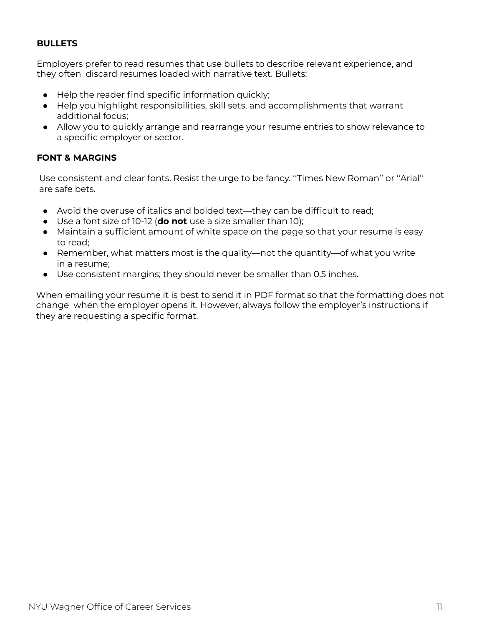#### **BULLETS**

Employers prefer to read resumes that use bullets to describe relevant experience, and they often discard resumes loaded with narrative text. Bullets:

- Help the reader find specific information quickly;
- Help you highlight responsibilities, skill sets, and accomplishments that warrant additional focus;
- Allow you to quickly arrange and rearrange your resume entries to show relevance to a specific employer or sector.

#### **FONT & MARGINS**

Use consistent and clear fonts. Resist the urge to be fancy. ''Times New Roman'' or ''Arial'' are safe bets.

- Avoid the overuse of italics and bolded text—they can be difficult to read;
- Use a font size of 10-12 (**do not** use a size smaller than 10);
- Maintain a sufficient amount of white space on the page so that your resume is easy to read;
- Remember, what matters most is the quality—not the quantity—of what you write in a resume;
- Use consistent margins; they should never be smaller than 0.5 inches.

When emailing your resume it is best to send it in PDF format so that the formatting does not change when the employer opens it. However, always follow the employer's instructions if they are requesting a specific format.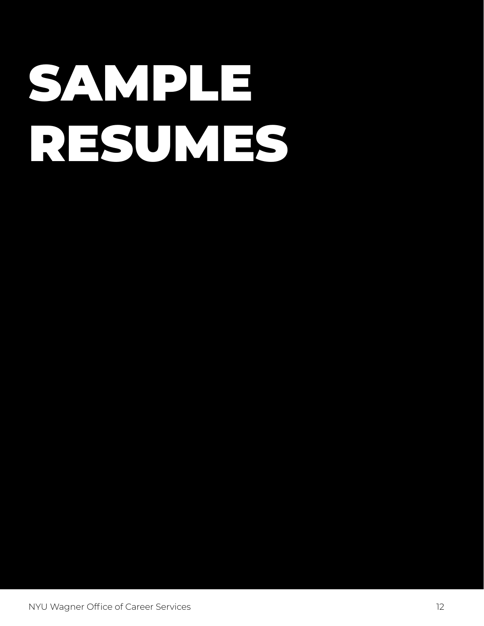# SAMPLE RESUMES

NYU Wagner Office of Career Services 12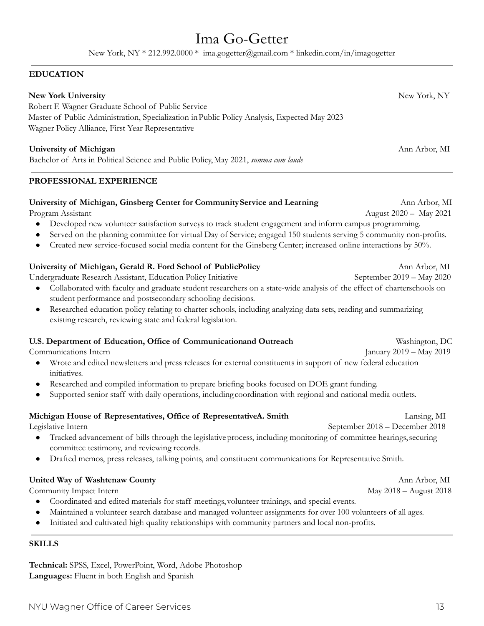# Ima Go-Getter

New York, NY \* 212.992.0000 \* ima.gogetter@gmail.com \* linkedin.com/in/imagogetter

#### **EDUCATION**

| <b>New York University</b>                                                                   | New York, NY  |
|----------------------------------------------------------------------------------------------|---------------|
| Robert F. Wagner Graduate School of Public Service                                           |               |
| Master of Public Administration, Specialization in Public Policy Analysis, Expected May 2023 |               |
| Wagner Policy Alliance, First Year Representative                                            |               |
|                                                                                              |               |
| University of Michigan                                                                       | Ann Arbor, MI |

Bachelor of Arts in Political Science and Public Policy,May 2021, *summa cum laude*

#### **PROFESSIONAL EXPERIENCE**

#### **University of Michigan, Ginsberg Center for CommunityService and Learning** Ann Arbor, MI

Program Assistant August 2020 – May 2021

- Developed new volunteer satisfaction surveys to track student engagement and inform campus programming.
- Served on the planning committee for virtual Day of Service; engaged 150 students serving 5 community non-profits.
- Created new service-focused social media content for the Ginsberg Center; increased online interactions by 50%.

#### **University of Michigan, Gerald R. Ford School of PublicPolicy** Ann Arbor, MI

Undergraduate Research Assistant, Education Policy Initiative September 2019 – May 2020

- Collaborated with faculty and graduate student researchers on a state-wide analysis of the effect of charterschools on student performance and postsecondary schooling decisions.
- Researched education policy relating to charter schools, including analyzing data sets, reading and summarizing existing research, reviewing state and federal legislation.

#### **U.S. Department of Education, Office of Communicationand Outreach** Washington, DC

Communications Intern January 2019 – May 2019

- Wrote and edited newsletters and press releases for external constituents in support of new federal education initiatives.
- Researched and compiled information to prepare briefing books focused on DOE grant funding.
- Supported senior staff with daily operations, including coordination with regional and national media outlets.

#### **Michigan House of Representatives, Office of RepresentativeA. Smith** Lansing, MI

Legislative Intern September 2018 – December 2018

- Tracked advancement of bills through the legislative process, including monitoring of committee hearings, securing committee testimony, and reviewing records.
- Drafted memos, press releases, talking points, and constituent communications for Representative Smith.

#### **United Way of Washtenaw County** Ann Arbor, MI

Community Impact Intern May 2018 – August 2018

- Coordinated and edited materials for staff meetings, volunteer trainings, and special events.
- Maintained a volunteer search database and managed volunteer assignments for over 100 volunteers of all ages.
- Initiated and cultivated high quality relationships with community partners and local non-profits.

#### **SKILLS**

**Technical:** SPSS, Excel, PowerPoint, Word, Adobe Photoshop **Languages:** Fluent in both English and Spanish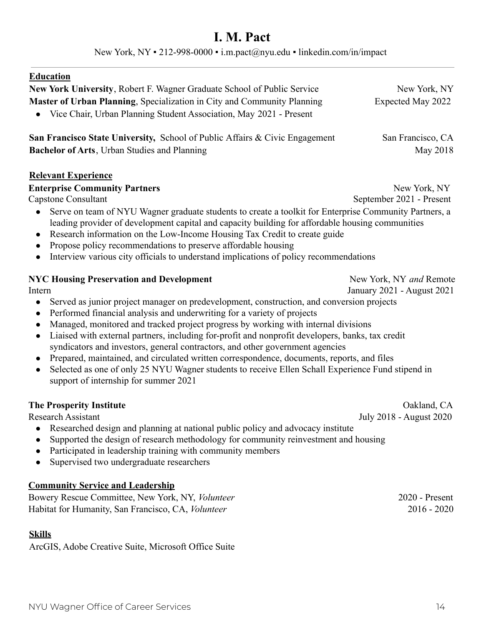# **I. M. Pact**

New York, NY • 212-998-0000 • i.m.pact@nyu.edu • linkedin.com/in/impact

| <b>Education</b>                                                                                                                                                                                                                                                                                                                                                                                                                                                            |                            |  |  |
|-----------------------------------------------------------------------------------------------------------------------------------------------------------------------------------------------------------------------------------------------------------------------------------------------------------------------------------------------------------------------------------------------------------------------------------------------------------------------------|----------------------------|--|--|
| New York University, Robert F. Wagner Graduate School of Public Service                                                                                                                                                                                                                                                                                                                                                                                                     | New York, NY               |  |  |
| Master of Urban Planning, Specialization in City and Community Planning                                                                                                                                                                                                                                                                                                                                                                                                     | Expected May 2022          |  |  |
| Vice Chair, Urban Planning Student Association, May 2021 - Present                                                                                                                                                                                                                                                                                                                                                                                                          |                            |  |  |
| San Francisco State University, School of Public Affairs & Civic Engagement                                                                                                                                                                                                                                                                                                                                                                                                 | San Francisco, CA          |  |  |
| Bachelor of Arts, Urban Studies and Planning                                                                                                                                                                                                                                                                                                                                                                                                                                | May 2018                   |  |  |
| <b>Relevant Experience</b>                                                                                                                                                                                                                                                                                                                                                                                                                                                  |                            |  |  |
| <b>Enterprise Community Partners</b>                                                                                                                                                                                                                                                                                                                                                                                                                                        | New York, NY               |  |  |
| <b>Capstone Consultant</b>                                                                                                                                                                                                                                                                                                                                                                                                                                                  | September 2021 - Present   |  |  |
| Serve on team of NYU Wagner graduate students to create a toolkit for Enterprise Community Partners, a<br>$\bullet$<br>leading provider of development capital and capacity building for affordable housing communities<br>Research information on the Low-Income Housing Tax Credit to create guide<br>$\bullet$<br>Propose policy recommendations to preserve affordable housing<br>Interview various city officials to understand implications of policy recommendations |                            |  |  |
| <b>NYC Housing Preservation and Development</b>                                                                                                                                                                                                                                                                                                                                                                                                                             | New York, NY and Remote    |  |  |
| Intern                                                                                                                                                                                                                                                                                                                                                                                                                                                                      | January 2021 - August 2021 |  |  |
| Served as junior project manager on predevelopment, construction, and conversion projects<br>$\bullet$                                                                                                                                                                                                                                                                                                                                                                      |                            |  |  |
| Performed financial analysis and underwriting for a variety of projects<br>$\bullet$                                                                                                                                                                                                                                                                                                                                                                                        |                            |  |  |
| Managed, monitored and tracked project progress by working with internal divisions<br>$\bullet$<br>Liaised with external partners, including for-profit and nonprofit developers, banks, tax credit<br>$\bullet$                                                                                                                                                                                                                                                            |                            |  |  |
| syndicators and investors, general contractors, and other government agencies                                                                                                                                                                                                                                                                                                                                                                                               |                            |  |  |
| Prepared, maintained, and circulated written correspondence, documents, reports, and files<br>$\bullet$                                                                                                                                                                                                                                                                                                                                                                     |                            |  |  |
| Selected as one of only 25 NYU Wagner students to receive Ellen Schall Experience Fund stipend in<br>$\bullet$<br>support of internship for summer 2021                                                                                                                                                                                                                                                                                                                     |                            |  |  |
| <b>The Prosperity Institute</b>                                                                                                                                                                                                                                                                                                                                                                                                                                             | Oakland, CA                |  |  |
| <b>Research Assistant</b>                                                                                                                                                                                                                                                                                                                                                                                                                                                   | July 2018 - August 2020    |  |  |
| Researched design and planning at national public policy and advocacy institute                                                                                                                                                                                                                                                                                                                                                                                             |                            |  |  |
| $\sim$ 1.1 1 $\sim$ 0 1 1 1 1 0 $\sim$ 1 $\sim$ 11 $\sim$                                                                                                                                                                                                                                                                                                                                                                                                                   |                            |  |  |

- Supported the design of research methodology for community reinvestment and housing • Participated in leadership training with community members
- Supervised two undergraduate researchers

#### **Community Service and Leadership**

Bowery Rescue Committee, New York, NY, *Volunteer* 2020 - Present Habitat for Humanity, San Francisco, CA, *Volunteer* 2016 - 2020

#### **Skills**

ArcGIS, Adobe Creative Suite, Microsoft Office Suite

NYU Wagner Office of Career Services 14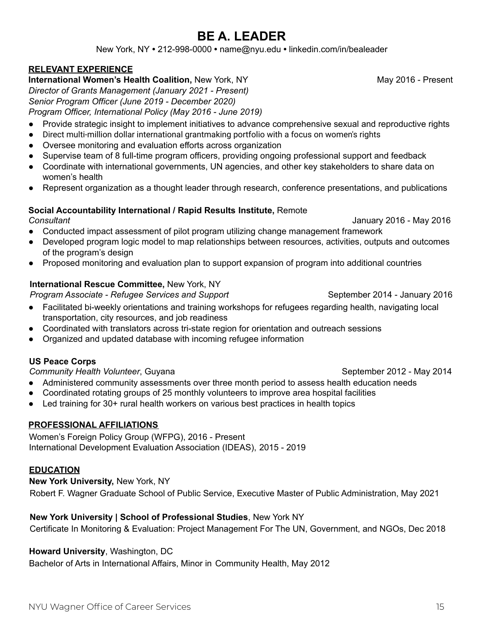# **BE A. LEADER**

New York, NY **•** 212-998-0000 **•** name@nyu.edu **•** linkedin.com/in/bealeader

#### **RELEVANT EXPERIENCE**

**International Women's Health Coalition,** New York, NY Many 2016 - Present

*Director of Grants Management (January 2021 - Present) Senior Program Officer (June 2019 - December 2020)*

*Program Officer, International Policy (May 2016 - June 2019)*

- Provide strategic insight to implement initiatives to advance comprehensive sexual and reproductive rights
- Direct multi-million dollar international grantmaking portfolio with a focus on women's rights
- Oversee monitoring and evaluation efforts across organization
- Supervise team of 8 full-time program officers, providing ongoing professional support and feedback
- Coordinate with international governments, UN agencies, and other key stakeholders to share data on women's health
- Represent organization as a thought leader through research, conference presentations, and publications

#### **Social Accountability International / Rapid Results Institute,** Remote *Consultant* January 2016 - May 2016

- Conducted impact assessment of pilot program utilizing change management framework
- Developed program logic model to map relationships between resources, activities, outputs and outcomes of the program's design
- Proposed monitoring and evaluation plan to support expansion of program into additional countries

#### **International Rescue Committee,** New York, NY

#### *Program Associate - Refugee Services and Support* September 2014 - January 2016

- Facilitated bi-weekly orientations and training workshops for refugees regarding health, navigating local transportation, city resources, and job readiness
- Coordinated with translators across tri-state region for orientation and outreach sessions
- Organized and updated database with incoming refugee information

#### **US Peace Corps**

**Community Health Volunteer**, Guyana September 2012 - May 2014

- Administered community assessments over three month period to assess health education needs
- Coordinated rotating groups of 25 monthly volunteers to improve area hospital facilities
- Led training for 30+ rural health workers on various best practices in health topics

#### **PROFESSIONAL AFFILIATIONS**

Women's Foreign Policy Group (WFPG), 2016 - Present International Development Evaluation Association (IDEAS), 2015 - 2019

#### **EDUCATION**

**New York University,** New York, NY

Robert F. Wagner Graduate School of Public Service, Executive Master of Public Administration, May 2021

#### **New York University | School of Professional Studies**, New York NY

Certificate In Monitoring & Evaluation: Project Management For The UN, Government, and NGOs, Dec 2018

#### **Howard University**, Washington, DC

Bachelor of Arts in International Affairs, Minor in Community Health, May 2012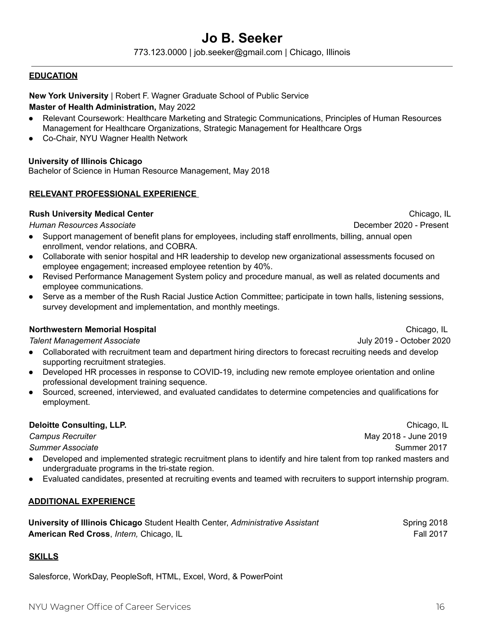#### *Campus Recruiter* May 2018 - June 2019

- Developed and implemented strategic recruitment plans to identify and hire talent from top ranked masters and undergraduate programs in the tri-state region.
- Evaluated candidates, presented at recruiting events and teamed with recruiters to support internship program.

#### **ADDITIONAL EXPERIENCE**

**University of Illinois Chicago** Student Health Center, *Administrative Assistant* Spring 2018 **American Red Cross**, *Intern*, Chicago, IL **Fall 2017 Fall 2017** 

#### **SKILLS**

Salesforce, WorkDay, PeopleSoft, HTML, Excel, Word, & PowerPoint

- employee communications.
- Serve as a member of the Rush Racial Justice Action Committee; participate in town halls, listening sessions, survey development and implementation, and monthly meetings.

*Talent Management Associate* July 2019 - October 2020

- Collaborated with recruitment team and department hiring directors to forecast recruiting needs and develop supporting recruitment strategies.
- Developed HR processes in response to COVID-19, including new remote employee orientation and online professional development training sequence.
- Sourced, screened, interviewed, and evaluated candidates to determine competencies and qualifications for employment.

#### **Deloitte Consulting, LLP.** Chicago, IL

**Summer Associate** Summer 2017

- Collaborate with senior hospital and HR leadership to develop new organizational assessments focused on employee engagement; increased employee retention by 40%.
- Revised Performance Management System policy and procedure manual, as well as related documents and
- 

# **Northwestern Memorial Hospital Chicago, IL Annual Chicago, IL Annual Chicago, IL Annual Chicago, IL**

**New York University** | Robert F. Wagner Graduate School of Public Service

#### **Master of Health Administration,** May 2022

- Relevant Coursework: Healthcare Marketing and Strategic Communications, Principles of Human Resources Management for Healthcare Organizations, Strategic Management for Healthcare Orgs
- Co-Chair, NYU Wagner Health Network

**RELEVANT PROFESSIONAL EXPERIENCE**

enrollment, vendor relations, and COBRA.

**University of Illinois Chicago**

**EDUCATION**

**Rush University Medical Center** Chicago, IL and Chicago, IL and Chicago, IL and Chicago, IL

Bachelor of Science in Human Resource Management, May 2018

#### **Jo B. Seeker** 773.123.0000 | job.seeker@gmail.com | Chicago, Illinois

NYU Wagner Office of Career Services 16

*Human Resources Associate* December 2020 - Present ● Support management of benefit plans for employees, including staff enrollments, billing, annual open